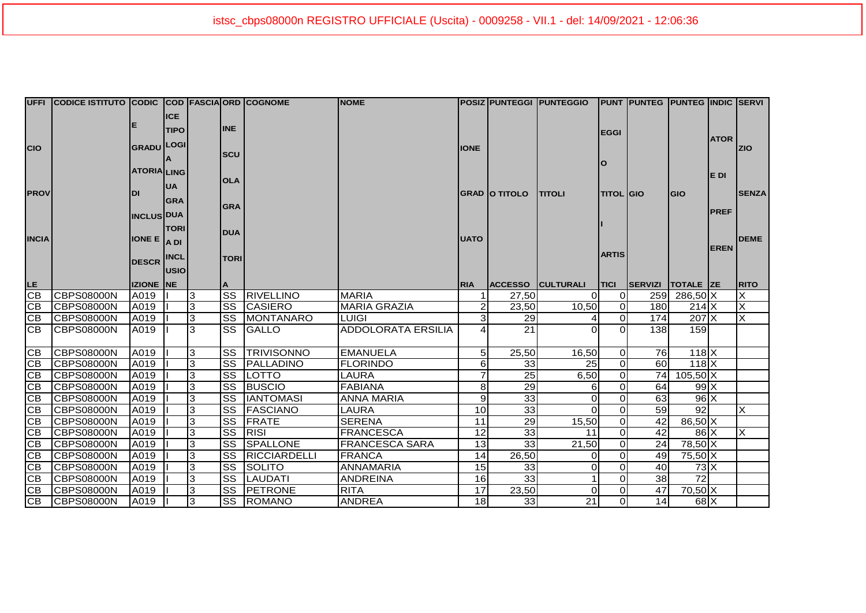|              | UFFI CODICE ISTITUTO CODIC COD FASCIA ORD COGNOME |                            |              |   |                        |                  | <b>NOME</b>               |                |                      | POSIZ PUNTEGGI  PUNTEGGIO |                            | <b>PUNT PUNTEG PUNTEG INDIC SERVI</b> |                  |             |              |
|--------------|---------------------------------------------------|----------------------------|--------------|---|------------------------|------------------|---------------------------|----------------|----------------------|---------------------------|----------------------------|---------------------------------------|------------------|-------------|--------------|
|              |                                                   |                            | <b>ICE</b>   |   |                        |                  |                           |                |                      |                           |                            |                                       |                  |             |              |
|              |                                                   | Е                          | <b>TIPO</b>  |   | <b>INE</b>             |                  |                           |                |                      |                           | <b>EGGI</b>                |                                       |                  |             |              |
| <b>CIO</b>   |                                                   | <b>GRADU</b>               | <b>LOGI</b>  |   |                        |                  |                           | <b>IONE</b>    |                      |                           |                            |                                       |                  | <b>ATOR</b> | <b>ZIO</b>   |
|              |                                                   |                            |              |   | <b>SCU</b>             |                  |                           |                |                      |                           |                            |                                       |                  |             |              |
|              |                                                   | <b>ATORIA LING</b>         |              |   |                        |                  |                           |                |                      |                           | O                          |                                       |                  |             |              |
|              |                                                   |                            |              |   | <b>OLA</b>             |                  |                           |                |                      |                           |                            |                                       |                  | E DI        |              |
| <b>PROV</b>  |                                                   | DI                         | <b>UA</b>    |   |                        |                  |                           |                | <b>GRAD O TITOLO</b> | <b>ITITOLI</b>            | <b>TITOL GIO</b>           |                                       | lgio             |             | <b>SENZA</b> |
|              |                                                   |                            | <b>GRA</b>   |   | <b>GRA</b>             |                  |                           |                |                      |                           |                            |                                       |                  |             |              |
|              |                                                   | <b>INCLUS DUA</b>          |              |   |                        |                  |                           |                |                      |                           |                            |                                       |                  | <b>PREF</b> |              |
|              |                                                   |                            | <b>TORI</b>  |   | <b>DUA</b>             |                  |                           |                |                      |                           |                            |                                       |                  |             |              |
| <b>INCIA</b> |                                                   | <b>IONE E</b> $\vert$ A DI |              |   |                        |                  |                           | <b>UATO</b>    |                      |                           |                            |                                       |                  |             | <b>DEME</b>  |
|              |                                                   |                            | <b>INCL</b>  |   |                        |                  |                           |                |                      |                           | <b>ARTIS</b>               |                                       |                  | <b>EREN</b> |              |
|              |                                                   | <b>DESCR</b>               |              |   | <b>TORI</b>            |                  |                           |                |                      |                           |                            |                                       |                  |             |              |
|              |                                                   |                            | <b>JUSIO</b> |   |                        |                  |                           |                |                      |                           |                            |                                       |                  |             |              |
| LE.          |                                                   | <b>IZIONE NE</b>           |              |   |                        |                  |                           | <b>RIA</b>     |                      | ACCESSO CULTURALI         | <b>TICI</b>                | SERVIZI                               | <b>TOTALE ZE</b> |             | <b>RITO</b>  |
| <b>CB</b>    | <b>CBPS08000N</b>                                 | A019                       |              | 3 | $\overline{\text{ss}}$ | <b>RIVELLINO</b> | <b>MARIA</b>              |                | 27,50                | ΩI                        | ΟI                         |                                       | 259 286,50 X     |             | X            |
| <b>CB</b>    | <b>CBPS08000N</b>                                 | A019                       |              | 3 |                        | SS CASIERO       | <b>MARIA GRAZIA</b>       | $\mathsf{2}$   | 23,50                | 10,50                     | <sub>0</sub>               | 180                                   | $214$ $X$        |             | X            |
| CВ           | <b>CBPS08000N</b>                                 | A019                       |              | 3 |                        | SS MONTANARO     | <b>LUIGI</b>              | 3              | 29                   |                           | $\overline{0}$<br>$\Omega$ | 174                                   | 207 X            |             | X            |
| <b>CB</b>    | CBPS08000N                                        | A019                       |              | 3 | SS                     | GALLO            | <b>ADDOLORATA ERSILIA</b> |                | 21                   |                           |                            | 138                                   | 159              |             |              |
| CВ           | <b>CBPS08000N</b>                                 | A019                       |              | 3 |                        | SS TRIVISONNO    | <b>EMANUELA</b>           | 5 <sup>1</sup> | 25,50                | 16,50                     | ΟI                         | 76                                    | $118$ $X$        |             |              |
| CВ           | <b>ICBPS08000N</b>                                | A019                       |              | 3 |                        | SS PALLADINO     | <b>FLORINDO</b>           | $6 \mid$       | 33                   | 25                        | Οl                         | 60                                    | $118$ $X$        |             |              |
| <b>CB</b>    | <b>CBPS08000N</b>                                 | A019                       |              | 3 |                        | SS LOTTO         | <b>LAURA</b>              |                | 25                   | 6,50                      | <sub>0</sub>               |                                       | 74 105,50 X      |             |              |
| <b>CB</b>    | <b>CBPS08000N</b>                                 | A019                       |              | 3 |                        | SS BUSCIO        | <b>FABIANA</b>            | 8              | 29                   | 6                         | οI                         | 64                                    | 99 <sub>X</sub>  |             |              |
| <b>CB</b>    | <b>CBPS08000N</b>                                 | A019                       |              | 3 |                        | SS  IANTOMASI    | <b>ANNA MARIA</b>         | 9              | 33                   | $\Omega$                  | $\Omega$                   | 63                                    | $96 \times$      |             |              |
| <b>CB</b>    | <b>CBPS08000N</b>                                 | A019                       |              | 3 |                        | SS FASCIANO      | <b>LAURA</b>              | 10             | 33                   | ΩI                        | $\Omega$                   | 59                                    | 92               |             | X            |
| <b>CB</b>    | <b>CBPS08000N</b>                                 | A019                       |              | 3 | $\overline{\text{ss}}$ | FRATE            | <b>SERENA</b>             | 11             | 29                   | 15,50                     | 0l                         | 42                                    | 86,50 X          |             |              |
| <b>CB</b>    | <b>CBPS08000N</b>                                 | A019                       |              | 3 | SS                     | RISI             | <b>FRANCESCA</b>          | 12             | 33                   | 11                        | 0l                         | 42                                    | 86 <sup>1</sup>  |             | X            |
| <b>CB</b>    | <b>CBPS08000N</b>                                 | A019                       |              | 3 | SS                     | SPALLONE         | <b>FRANCESCA SARA</b>     | 13             | 33                   | 21,50                     | οI                         | 24                                    | 78,50 X          |             |              |
| CB           | <b>CBPS08000N</b>                                 | A019                       |              | 3 | SS                     | RICCIARDELLI     | <b>FRANCA</b>             | 14             | 26,50                | Οl                        | $\Omega$                   | 49                                    | 75,50 X          |             |              |
| <b>CB</b>    | <b>CBPS08000N</b>                                 | A019                       |              | 3 | SS                     | <b>ISOLITO</b>   | <b>ANNAMARIA</b>          | 15             | 33                   | Οl                        | $\Omega$                   | 40                                    | $73\text{X}$     |             |              |
| CВ           | <b>CBPS08000N</b>                                 | A019                       |              | 3 | <b>SS</b>              | LAUDATI          | <b>ANDREINA</b>           | 16             | 33                   |                           | 0l                         | 38                                    | 72               |             |              |
| <b>CB</b>    | <b>CBPS08000N</b>                                 | A019                       |              | 3 |                        | SS PETRONE       | <b>RITA</b>               | 17             | 23,50                | Οl                        | 0l                         | 47                                    | $70,50$ X        |             |              |
| IСB          | <b>CBPS08000N</b>                                 | A019                       |              | 3 |                        | SS ROMANO        | <b>ANDREA</b>             | 18             | 33                   | $\overline{21}$           | οI                         | 14                                    | $68$ $X$         |             |              |